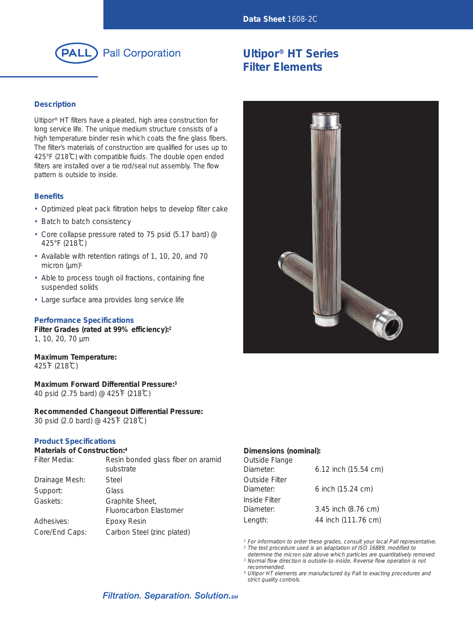

### **Description**

Ultipor® HT filters have a pleated, high area construction for long service life. The unique medium structure consists of a high temperature binder resin which coats the fine glass fibers. The filter's materials of construction are qualified for uses up to 425°F (218˚C) with compatible fluids. The double open ended filters are installed over a tie rod/seal nut assembly. The flow pattern is outside to inside.

#### **Benefits**

- Optimized pleat pack filtration helps to develop filter cake
- Batch to batch consistency
- Core collapse pressure rated to 75 psid (5.17 bard) @ 425°F (218˚C)
- Available with retention ratings of 1, 10, 20, and 70 micron  $(\mu m)^1$
- Able to process tough oil fractions, containing fine suspended solids
- Large surface area provides long service life

#### **Performance Specifications**

**Filter Grades (rated at 99% efficiency):2** 1, 10, 20, 70 µm

**Maximum Temperature:** 425˚F (218˚C)

**Maximum Forward Differential Pressure:3** 40 psid (2.75 bard) @ 425˚F (218˚C)

**Recommended Changeout Differential Pressure:** 30 psid (2.0 bard) @ 425˚F (218˚C)

#### **Product Specifications**

#### **Materials of Construction:4**

| Filter Media:  | Resin bonded glass fiber on aramid<br>substrate |
|----------------|-------------------------------------------------|
| Drainage Mesh: | Steel                                           |
| Support:       | Glass                                           |
| Gaskets:       | Graphite Sheet,<br>Fluorocarbon Elastomer       |
| Adhesives:     | Epoxy Resin                                     |
| Core/End Caps: | Carbon Steel (zinc plated)                      |

# **Ultipor® HT Series Filter Elements**



### **Dimensions (nominal):**

| Outside Flange |                          |
|----------------|--------------------------|
| Diameter:      | $6.12$ inch $(15.54$ cm) |
| Outside Filter |                          |
| Diameter:      | 6 inch (15.24 cm)        |
| Inside Filter  |                          |
| Diameter:      | 3.45 inch (8.76 cm)      |
| Length:        | 44 inch (111.76 cm)      |
|                |                          |

<sup>1</sup> For information to order these grades, consult your local Pall representative.

<sup>2</sup> The test procedure used is an adaptation of ISO 16889, modified to *determine the micron size above which particles are quantitatively removed.*

*<sup>3</sup> Normal flow direction is outside-to-inside. Reverse flow operation is not recommended.*

<sup>4</sup> Ultipor HT elements are manufactured by Pall to exacting procedures and *strict quality controls.*

## **Filtration. Separation. Solution.**sm